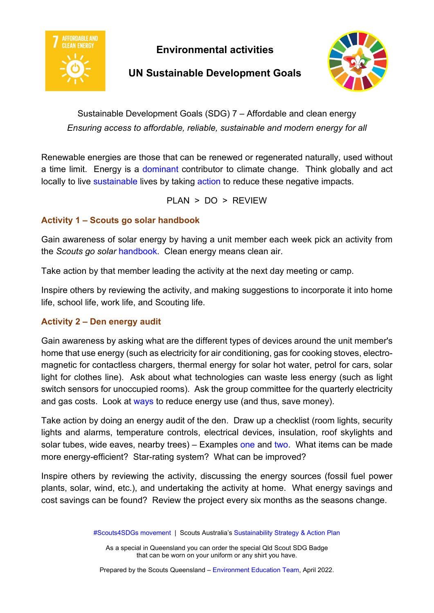

**Environmental activities**

## **UN Sustainable Development Goals**



Sustainable Development Goals (SDG) 7 – Affordable and clean energy *Ensuring access to affordable, reliable, sustainable and modern energy for all* 

Renewable energies are those that can be renewed or regenerated naturally, used without a time limit. Energy is a [dominant](https://en.unesco.org/themes/education/sdgs/material/07) contributor to climate change. Think globally and act locally to live [sustainable](https://www.naturalcapitalpartners.com/sustainable-development-goals/goal/affordable-and-clean-energy) lives by taking [action](https://en.unesco.org/themes/education/sdgs/material/07) to reduce these negative impacts.

PLAN > DO > REVIEW

## **Activity 1 – Scouts go solar handbook**

Gain awareness of solar energy by having a unit member each week pick an activity from the *Scouts go solar* [handbook.](https://www.scout.org/ScoutsGoSolar-manual) Clean energy means clean air.

Take action by that member leading the activity at the next day meeting or camp.

Inspire others by reviewing the activity, and making suggestions to incorporate it into home life, school life, work life, and Scouting life.

## **Activity 2 – Den energy audit**

Gain awareness by asking what are the different types of devices around the unit member's home that use energy (such as electricity for air conditioning, gas for cooking stoves, electromagnetic for contactless chargers, thermal energy for solar hot water, petrol for cars, solar light for clothes line). Ask about what technologies can waste less energy (such as light switch sensors for unoccupied rooms). Ask the group committee for the quarterly electricity and gas costs. Look at [ways](https://www.sustainability.vic.gov.au/energy-efficiency-and-reducing-emissions/save-energy-in-the-home) to reduce energy use (and thus, save money).

Take action by doing an energy audit of the den. Draw up a checklist (room lights, security lights and alarms, temperature controls, electrical devices, insulation, roof skylights and solar tubes, wide eaves, nearby trees) – Examples [one](https://www.scouts.ie/Scouter/National-Stuff/National-Mailings/National-Mailings-2019/Scouting-Den-Energy-Audit-Survey-2019-Form.pdf) and [two.](https://www.sa.gov.au/__data/assets/pdf_file/0004/75910/190514-Do-your-own-home-energy-audit.pdf) What items can be made more energy-efficient? Star-rating system? What can be improved?

Inspire others by reviewing the activity, discussing the energy sources (fossil fuel power plants, solar, wind, etc.), and undertaking the activity at home. What energy savings and cost savings can be found? Review the project every six months as the seasons change.

As a special in Queensland you can order the special Qld Scout SDG Badge that can be worn on your uniform or any shirt you have.

Prepared by the Scouts Queensland – [Environment Education Team,](https://scoutsqld.com.au/environment-activities/) April 2022.

[<sup>#</sup>Scouts4SDGs movement](https://scouts.com.au/blog/2019/05/29/scouts4sdgs/) | Scouts Australia's [Sustainability Strategy & Action Plan](https://scouts.com.au/blog/2020/04/14/sustainability-strategy/)